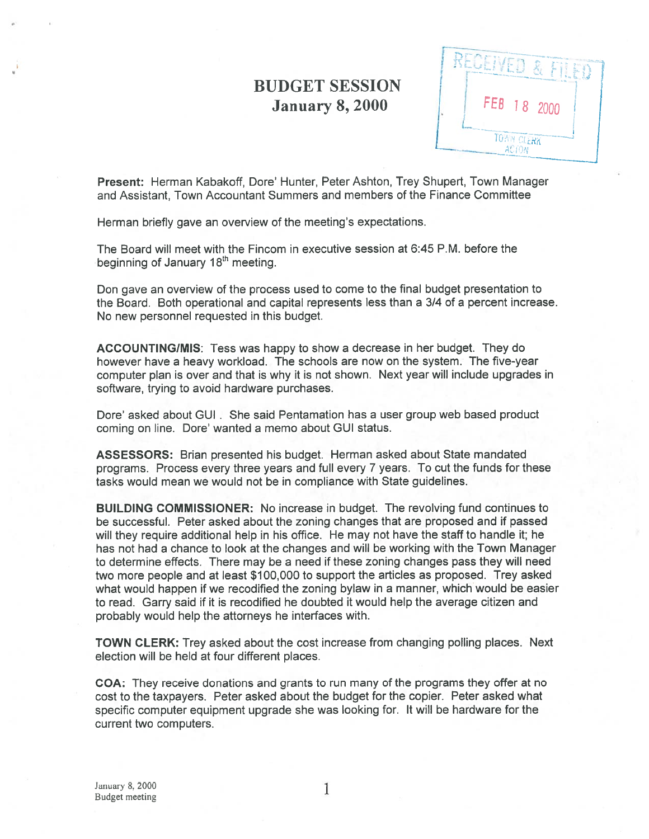## **BUDGET SESSION** January 8, 2000

RECEIVED & F TOAN CLERK

Present: Herman Kabakoff, Dore' Hunter, Peter Ashton, Trey Shupert, Town Manager and Assistant, Town Accountant Summers and members of the Finance Committee

Herman briefly gave an overview of the meeting's expectations.

The Board will meet with the Fincom in executive session at 6:45 P.M. before the beginning of January 18<sup>th</sup> meeting.

Don gave an overview of the process used to come to the final budget presentation to the Board. Both operational and capital represents less than <sup>a</sup> 3/4 of <sup>a</sup> percen<sup>t</sup> increase. No new personnel requested in this budget.

ACCOUNTING/MIS: Tess was happy to show <sup>a</sup> decrease in her budget. They do however have <sup>a</sup> heavy workload. The schools are now on the system. The five-year computer plan is over and that is why it is not shown. Next year will include upgrades in software, trying to avoid hardware purchases.

Dore' asked about GUI . She said Pentamation has <sup>a</sup> user group web based product coming on line. Dore' wanted <sup>a</sup> memo about GUI status.

ASSESSORS: Brian presented his budget. Herman asked about State mandated programs. Process every three years and full every 7 years. To cut the funds for these tasks would mean we would not be in compliance with State guidelines.

BUILDING COMMISSIONER: No increase in budget. The revolving fund continues to be successful. Peter asked about the zoning changes that are proposed and if passed will they require additional help in his office. He may not have the staff to handle it; he has not had <sup>a</sup> chance to look at the changes and will be working with the Town Manager to determine effects. There may be <sup>a</sup> need if these zoning changes pass they will need two more people and at least \$100,000 to suppor<sup>t</sup> the articles as proposed. Trey asked what would happen if we recodified the zoning bylaw in <sup>a</sup> manner, which would be easier to read. Garry said if it is recodified he doubted it would help the average citizen and probably would help the attorneys he interfaces with.

TOWN CLERK: Trey asked about the cost increase from changing polling places. Next election will be held at four different places.

COA: They receive donations and grants to run many of the programs they offer at no cost to the taxpayers. Peter asked about the budget for the copier. Peter asked what specific computer equipment upgrade she was looking for. It will be hardware for the current two computers.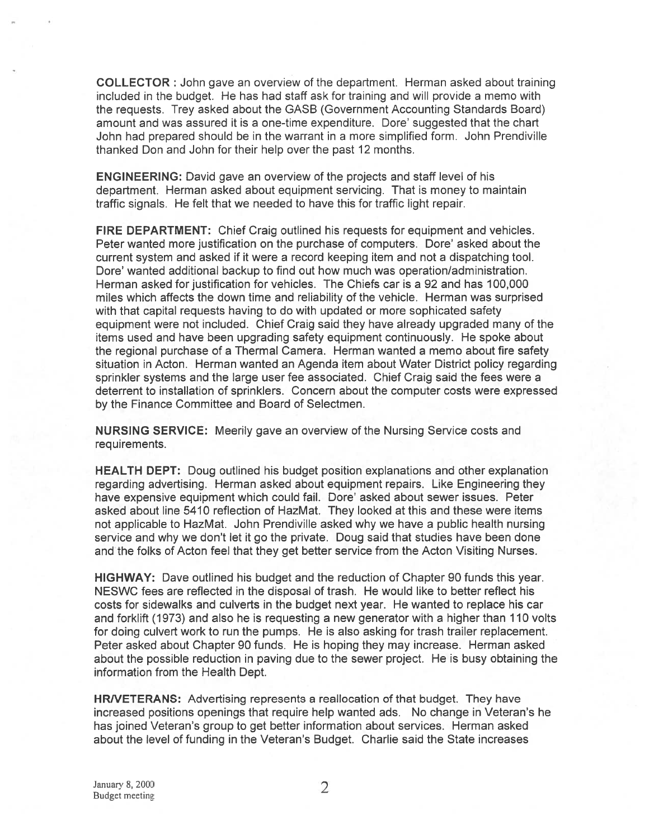COLLECTOR : John gave an overview of the department. Herman asked about training included in the budget. He has had staff ask for training and will provide <sup>a</sup> memo with the requests. Trey asked about the GASB (Government Accounting Standards Board) amount and was assured it is <sup>a</sup> one-time expenditure. Dore' suggested that the chart John had prepared should be in the warrant in <sup>a</sup> more simplified form. John Prendiville thanked Don and John for their help over the pas<sup>t</sup> 12 months.

ENGINEERING: David gave an overview of the projects and staff level of his department. Herman asked about equipment servicing. That is money to maintain traffic signals. He felt that we needed to have this for traffic light repair.

FIRE DEPARTMENT: Chief Craig outlined his requests for equipment and vehicles. Peter wanted more justification on the purchase of computers. Dore' asked about the current system and asked if it were <sup>a</sup> record keeping item and not <sup>a</sup> dispatching tool. Dote' wanted additional backup to find out how much was operation/administration. Herman asked for justification for vehicles. The Chiefs car is <sup>a</sup> 92 and has 100,000 miles which affects the down time and reliability of the vehicle. Herman was surprised with that capital requests having to do with updated or more sophicated safety equipment were not included. Chief Craig said they have already upgraded many of the items used and have been upgrading safety equipment continuously. He spoke about the regional purchase of <sup>a</sup> Thermal Camera. Herman wanted <sup>a</sup> memo about fire safety situation in Acton. Herman wanted an Agenda item about Water District policy regarding sprinkler systems and the large user fee associated. Chief Craig said the fees were <sup>a</sup> deterrent to installation of sprinklers. Concern about the computer costs were expressed by the Finance Committee and Board of Selectmen.

NURSING SERVICE: Meerily gave an overview of the Nursing Service costs and requirements.

HEALTH DEPT: Doug outlined his budget position explanations and other explanation regarding advertising. Herman asked about equipment repairs. Like Engineering they have expensive equipment which could fail. Dore' asked about sewer issues. Peter asked about line 5410 reflection of HazMat. They looked at this and these were items not applicable to HazMat. John Prendiville asked why we have <sup>a</sup> public health nursing service and why we don't let it go the private. Doug said that studies have been done and the folks of Acton feel that they ge<sup>t</sup> better service from the Acton Visiting Nurses.

HIGHWAY: Dave outlined his budget and the reduction of Chapter 90 funds this year. NESWC fees are reflected in the disposal of trash. He would like to better reflect his costs for sidewalks and culverts in the budget next year. He wanted to replace his car and forklift (1973) and also he is requesting <sup>a</sup> new generator with <sup>a</sup> higher than 110 volts for doing culvert work to run the pumps. He is also asking for trash trailer replacement. Peter asked about Chapter 90 funds. He is hoping they may increase. Herman asked about the possible reduction in paving due to the sewer project. He is busy obtaining the information from the Health Dept.

HRNETERANS: Advertising represents <sup>a</sup> reallocation of that budget. They have increased positions openings that require help wanted ads. No change in Veteran's he has joined Veteran's group to ge<sup>t</sup> better information about services. Herman asked about the level of funding in the Veteran's Budget. Charlie said the State increases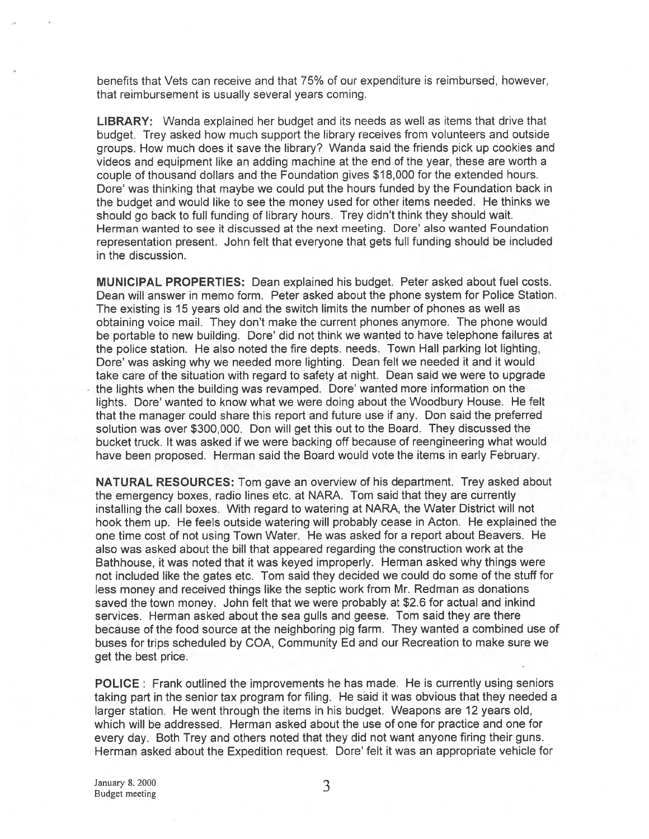benefits that Vets can receive and that 75% of our expenditure is reimbursed, however, that reimbursement is usually several years coming.

LIBRARY: Wanda explained her budget and its needs as well as items that drive that budget. Trey asked how much suppor<sup>t</sup> the library receives from volunteers and outside groups. How much does it save the library? Wanda said the friends pick up cookies and videos and equipment like an adding machine at the end of the year, these are worth <sup>a</sup> couple of thousand dollars and the Foundation gives \$18,000 for the extended hours. Dore' was thinking that maybe we could pu<sup>t</sup> the hours funded by the Foundation back in the budget and would like to see the money used for other items needed. He thinks we should go back to full funding of library hours. Trey didn't think they should wait. Herman wanted to see it discussed at the next meeting. Dote' also wanted Foundation representation present. John felt that everyone that gets full funding should be included in the discussion.

MUNICIPAL PROPERTIES: Dean explained his budget. Peter asked about fuel costs. Dean will answer in memo form. Peter asked about the phone system for Police Station. The existing is 15 years old and the switch limits the number of phones as well as obtaining voice mail. They don't make the current phones anymore. The phone would be portable to new building. Dote' did not think we wanted to have telephone failures at the police station. He also noted the fire depts. needs. Town Hall parking lot lighting, Dore' was asking why we needed more lighting. Dean felt we needed it and it would take care of the situation with regard to safety at night. Dean said we were to upgrade the lights when the building was revamped. Dore' wanted more information on the lights. Dote' wanted to know what we were doing about the Woodbury House. He felt that the manager could share this repor<sup>t</sup> and future use if any. Don said the preferred solution was over \$300,000. Don will ge<sup>t</sup> this out to the Board. They discussed the bucket truck. It was asked if we were backing off because of reengineering what would have been proposed. Herman said the Board would vote the items in early February.

NATURAL RESOURCES: Tom gave an overview of his department. Trey asked about the emergency boxes, radio lines etc. at NARA. Tom said that they are currently installing the call boxes. With regard to watering at NARA, the Water District will not hook them up. He feels outside watering will probably cease in Acton. He explained the one time cost of not using Town Water. He was asked for <sup>a</sup> repor<sup>t</sup> about Beavers. He also was asked about the bill that appeared regarding the construction work at the Bathhouse, it was noted that it was keyed improperly. Herman asked why things were not included like the gates etc. Tom said they decided we could do some of the stuff for less money and received things like the septic work from Mr. Redman as donations saved the town money. John felt that we were probably at \$2.6 for actual and inkind services. Herman asked about the sea gulls and geese. Tom said they are there because of the food source at the neighboring pig farm. They wanted <sup>a</sup> combined use of buses for trips scheduled by COA, Community Ed and our Recreation to make sure we ge<sup>t</sup> the best price.

POLICE: Frank outlined the improvements he has made. He is currently using seniors taking par<sup>t</sup> in the senior tax program for filing. He said it was obvious that they needed <sup>a</sup> larger station. He went through the items in his budget. Weapons are 12 years old, which will be addressed. Herman asked about the use of one for practice and one for every day. Both Trey and others noted that they did not want anyone firing their guns. Herman asked about the Expedition request. Dore' felt it was an appropriate vehicle for